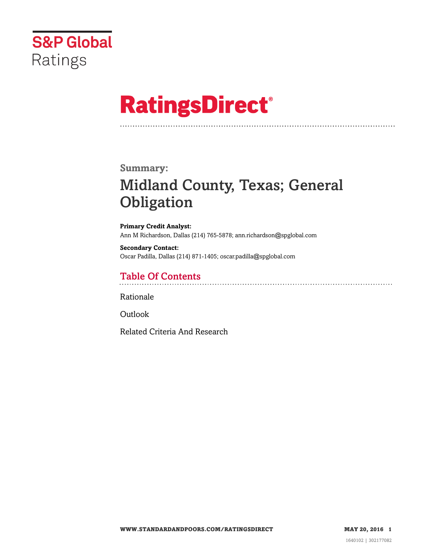

# **RatingsDirect®**

### **Summary:**

# Midland County, Texas; General **Obligation**

**Primary Credit Analyst:** Ann M Richardson, Dallas (214) 765-5878; ann.richardson@spglobal.com

**Secondary Contact:** Oscar Padilla, Dallas (214) 871-1405; oscar.padilla@spglobal.com

## Table Of Contents

[Rationale](#page-1-0)

[Outlook](#page-4-0)

[Related Criteria And Research](#page-5-0)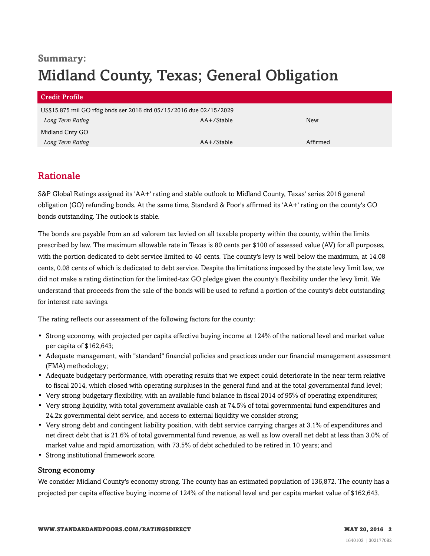# **Summary:** Midland County, Texas; General Obligation

| Credit Profile                                                     |            |          |
|--------------------------------------------------------------------|------------|----------|
| US\$15.875 mil GO rfdg bnds ser 2016 dtd 05/15/2016 due 02/15/2029 |            |          |
| Long Term Rating                                                   | AA+/Stable | New      |
| Midland Cnty GO                                                    |            |          |
| Long Term Rating                                                   | AA+/Stable | Affirmed |

# <span id="page-1-0"></span>Rationale

S&P Global Ratings assigned its 'AA+' rating and stable outlook to Midland County, Texas' series 2016 general obligation (GO) refunding bonds. At the same time, Standard & Poor's affirmed its 'AA+' rating on the county's GO bonds outstanding. The outlook is stable.

The bonds are payable from an ad valorem tax levied on all taxable property within the county, within the limits prescribed by law. The maximum allowable rate in Texas is 80 cents per \$100 of assessed value (AV) for all purposes, with the portion dedicated to debt service limited to 40 cents. The county's levy is well below the maximum, at 14.08 cents, 0.08 cents of which is dedicated to debt service. Despite the limitations imposed by the state levy limit law, we did not make a rating distinction for the limited-tax GO pledge given the county's flexibility under the levy limit. We understand that proceeds from the sale of the bonds will be used to refund a portion of the county's debt outstanding for interest rate savings.

The rating reflects our assessment of the following factors for the county:

- Strong economy, with projected per capita effective buying income at 124% of the national level and market value per capita of \$162,643;
- Adequate management, with "standard" financial policies and practices under our financial management assessment (FMA) methodology;
- Adequate budgetary performance, with operating results that we expect could deteriorate in the near term relative to fiscal 2014, which closed with operating surpluses in the general fund and at the total governmental fund level;
- Very strong budgetary flexibility, with an available fund balance in fiscal 2014 of 95% of operating expenditures;
- Very strong liquidity, with total government available cash at 74.5% of total governmental fund expenditures and 24.2x governmental debt service, and access to external liquidity we consider strong;
- Very strong debt and contingent liability position, with debt service carrying charges at 3.1% of expenditures and net direct debt that is 21.6% of total governmental fund revenue, as well as low overall net debt at less than 3.0% of market value and rapid amortization, with 73.5% of debt scheduled to be retired in 10 years; and
- Strong institutional framework score.

#### Strong economy

We consider Midland County's economy strong. The county has an estimated population of 136,872. The county has a projected per capita effective buying income of 124% of the national level and per capita market value of \$162,643.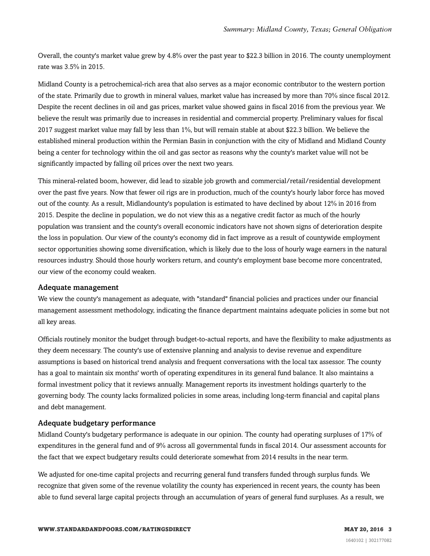Overall, the county's market value grew by 4.8% over the past year to \$22.3 billion in 2016. The county unemployment rate was 3.5% in 2015.

Midland County is a petrochemical-rich area that also serves as a major economic contributor to the western portion of the state. Primarily due to growth in mineral values, market value has increased by more than 70% since fiscal 2012. Despite the recent declines in oil and gas prices, market value showed gains in fiscal 2016 from the previous year. We believe the result was primarily due to increases in residential and commercial property. Preliminary values for fiscal 2017 suggest market value may fall by less than 1%, but will remain stable at about \$22.3 billion. We believe the established mineral production within the Permian Basin in conjunction with the city of Midland and Midland County being a center for technology within the oil and gas sector as reasons why the county's market value will not be significantly impacted by falling oil prices over the next two years.

This mineral-related boom, however, did lead to sizable job growth and commercial/retail/residential development over the past five years. Now that fewer oil rigs are in production, much of the county's hourly labor force has moved out of the county. As a result, Midlandounty's population is estimated to have declined by about 12% in 2016 from 2015. Despite the decline in population, we do not view this as a negative credit factor as much of the hourly population was transient and the county's overall economic indicators have not shown signs of deterioration despite the loss in population. Our view of the county's economy did in fact improve as a result of countywide employment sector opportunities showing some diversification, which is likely due to the loss of hourly wage earners in the natural resources industry. Should those hourly workers return, and county's employment base become more concentrated, our view of the economy could weaken.

#### Adequate management

We view the county's management as adequate, with "standard" financial policies and practices under our financial management assessment methodology, indicating the finance department maintains adequate policies in some but not all key areas.

Officials routinely monitor the budget through budget-to-actual reports, and have the flexibility to make adjustments as they deem necessary. The county's use of extensive planning and analysis to devise revenue and expenditure assumptions is based on historical trend analysis and frequent conversations with the local tax assessor. The county has a goal to maintain six months' worth of operating expenditures in its general fund balance. It also maintains a formal investment policy that it reviews annually. Management reports its investment holdings quarterly to the governing body. The county lacks formalized policies in some areas, including long-term financial and capital plans and debt management.

#### Adequate budgetary performance

Midland County's budgetary performance is adequate in our opinion. The county had operating surpluses of 17% of expenditures in the general fund and of 9% across all governmental funds in fiscal 2014. Our assessment accounts for the fact that we expect budgetary results could deteriorate somewhat from 2014 results in the near term.

We adjusted for one-time capital projects and recurring general fund transfers funded through surplus funds. We recognize that given some of the revenue volatility the county has experienced in recent years, the county has been able to fund several large capital projects through an accumulation of years of general fund surpluses. As a result, we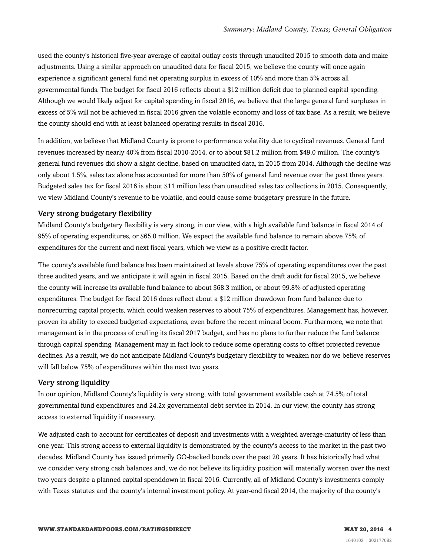used the county's historical five-year average of capital outlay costs through unaudited 2015 to smooth data and make adjustments. Using a similar approach on unaudited data for fiscal 2015, we believe the county will once again experience a significant general fund net operating surplus in excess of 10% and more than 5% across all governmental funds. The budget for fiscal 2016 reflects about a \$12 million deficit due to planned capital spending. Although we would likely adjust for capital spending in fiscal 2016, we believe that the large general fund surpluses in excess of 5% will not be achieved in fiscal 2016 given the volatile economy and loss of tax base. As a result, we believe the county should end with at least balanced operating results in fiscal 2016.

In addition, we believe that Midland County is prone to performance volatility due to cyclical revenues. General fund revenues increased by nearly 40% from fiscal 2010-2014, or to about \$81.2 million from \$49.0 million. The county's general fund revenues did show a slight decline, based on unaudited data, in 2015 from 2014. Although the decline was only about 1.5%, sales tax alone has accounted for more than 50% of general fund revenue over the past three years. Budgeted sales tax for fiscal 2016 is about \$11 million less than unaudited sales tax collections in 2015. Consequently, we view Midland County's revenue to be volatile, and could cause some budgetary pressure in the future.

#### Very strong budgetary flexibility

Midland County's budgetary flexibility is very strong, in our view, with a high available fund balance in fiscal 2014 of 95% of operating expenditures, or \$65.0 million. We expect the available fund balance to remain above 75% of expenditures for the current and next fiscal years, which we view as a positive credit factor.

The county's available fund balance has been maintained at levels above 75% of operating expenditures over the past three audited years, and we anticipate it will again in fiscal 2015. Based on the draft audit for fiscal 2015, we believe the county will increase its available fund balance to about \$68.3 million, or about 99.8% of adjusted operating expenditures. The budget for fiscal 2016 does reflect about a \$12 million drawdown from fund balance due to nonrecurring capital projects, which could weaken reserves to about 75% of expenditures. Management has, however, proven its ability to exceed budgeted expectations, even before the recent mineral boom. Furthermore, we note that management is in the process of crafting its fiscal 2017 budget, and has no plans to further reduce the fund balance through capital spending. Management may in fact look to reduce some operating costs to offset projected revenue declines. As a result, we do not anticipate Midland County's budgetary flexibility to weaken nor do we believe reserves will fall below 75% of expenditures within the next two years.

#### Very strong liquidity

In our opinion, Midland County's liquidity is very strong, with total government available cash at 74.5% of total governmental fund expenditures and 24.2x governmental debt service in 2014. In our view, the county has strong access to external liquidity if necessary.

We adjusted cash to account for certificates of deposit and investments with a weighted average-maturity of less than one year. This strong access to external liquidity is demonstrated by the county's access to the market in the past two decades. Midland County has issued primarily GO-backed bonds over the past 20 years. It has historically had what we consider very strong cash balances and, we do not believe its liquidity position will materially worsen over the next two years despite a planned capital spenddown in fiscal 2016. Currently, all of Midland County's investments comply with Texas statutes and the county's internal investment policy. At year-end fiscal 2014, the majority of the county's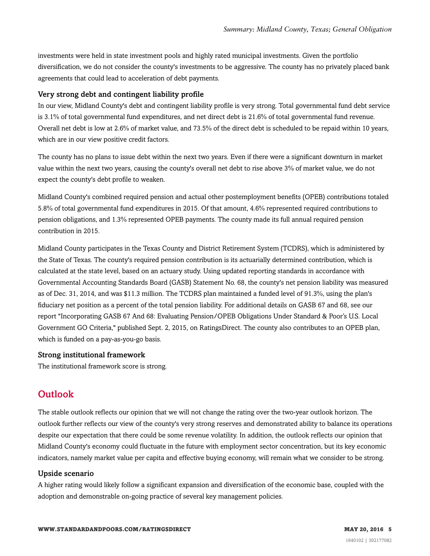investments were held in state investment pools and highly rated municipal investments. Given the portfolio diversification, we do not consider the county's investments to be aggressive. The county has no privately placed bank agreements that could lead to acceleration of debt payments.

#### Very strong debt and contingent liability profile

In our view, Midland County's debt and contingent liability profile is very strong. Total governmental fund debt service is 3.1% of total governmental fund expenditures, and net direct debt is 21.6% of total governmental fund revenue. Overall net debt is low at 2.6% of market value, and 73.5% of the direct debt is scheduled to be repaid within 10 years, which are in our view positive credit factors.

The county has no plans to issue debt within the next two years. Even if there were a significant downturn in market value within the next two years, causing the county's overall net debt to rise above 3% of market value, we do not expect the county's debt profile to weaken.

Midland County's combined required pension and actual other postemployment benefits (OPEB) contributions totaled 5.8% of total governmental fund expenditures in 2015. Of that amount, 4.6% represented required contributions to pension obligations, and 1.3% represented OPEB payments. The county made its full annual required pension contribution in 2015.

Midland County participates in the Texas County and District Retirement System (TCDRS), which is administered by the State of Texas. The county's required pension contribution is its actuarially determined contribution, which is calculated at the state level, based on an actuary study. Using updated reporting standards in accordance with Governmental Accounting Standards Board (GASB) Statement No. 68, the county's net pension liability was measured as of Dec. 31, 2014, and was \$11.3 million. The TCDRS plan maintained a funded level of 91.3%, using the plan's fiduciary net position as a percent of the total pension liability. For additional details on GASB 67 and 68, see our report "Incorporating GASB 67 And 68: Evaluating Pension/OPEB Obligations Under Standard & Poor's U.S. Local Government GO Criteria," published Sept. 2, 2015, on RatingsDirect. The county also contributes to an OPEB plan, which is funded on a pay-as-you-go basis.

#### Strong institutional framework

<span id="page-4-0"></span>The institutional framework score is strong.

### **Outlook**

The stable outlook reflects our opinion that we will not change the rating over the two-year outlook horizon. The outlook further reflects our view of the county's very strong reserves and demonstrated ability to balance its operations despite our expectation that there could be some revenue volatility. In addition, the outlook reflects our opinion that Midland County's economy could fluctuate in the future with employment sector concentration, but its key economic indicators, namely market value per capita and effective buying economy, will remain what we consider to be strong.

#### Upside scenario

A higher rating would likely follow a significant expansion and diversification of the economic base, coupled with the adoption and demonstrable on-going practice of several key management policies.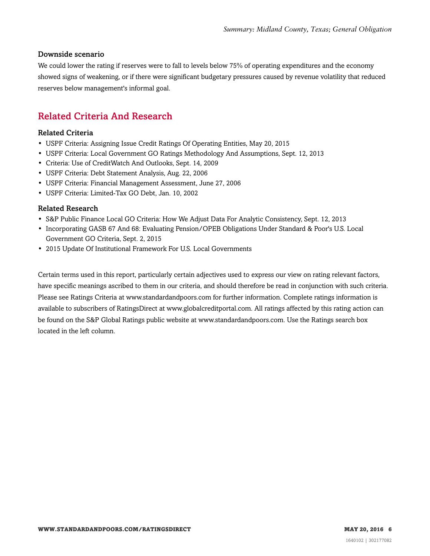#### Downside scenario

We could lower the rating if reserves were to fall to levels below 75% of operating expenditures and the economy showed signs of weakening, or if there were significant budgetary pressures caused by revenue volatility that reduced reserves below management's informal goal.

# <span id="page-5-0"></span>Related Criteria And Research

#### Related Criteria

- USPF Criteria: Assigning Issue Credit Ratings Of Operating Entities, May 20, 2015
- USPF Criteria: Local Government GO Ratings Methodology And Assumptions, Sept. 12, 2013
- Criteria: Use of CreditWatch And Outlooks, Sept. 14, 2009
- USPF Criteria: Debt Statement Analysis, Aug. 22, 2006
- USPF Criteria: Financial Management Assessment, June 27, 2006
- USPF Criteria: Limited-Tax GO Debt, Jan. 10, 2002

#### Related Research

- S&P Public Finance Local GO Criteria: How We Adjust Data For Analytic Consistency, Sept. 12, 2013
- Incorporating GASB 67 And 68: Evaluating Pension/OPEB Obligations Under Standard & Poor's U.S. Local Government GO Criteria, Sept. 2, 2015
- 2015 Update Of Institutional Framework For U.S. Local Governments

Certain terms used in this report, particularly certain adjectives used to express our view on rating relevant factors, have specific meanings ascribed to them in our criteria, and should therefore be read in conjunction with such criteria. Please see Ratings Criteria at www.standardandpoors.com for further information. Complete ratings information is available to subscribers of RatingsDirect at www.globalcreditportal.com. All ratings affected by this rating action can be found on the S&P Global Ratings public website at www.standardandpoors.com. Use the Ratings search box located in the left column.